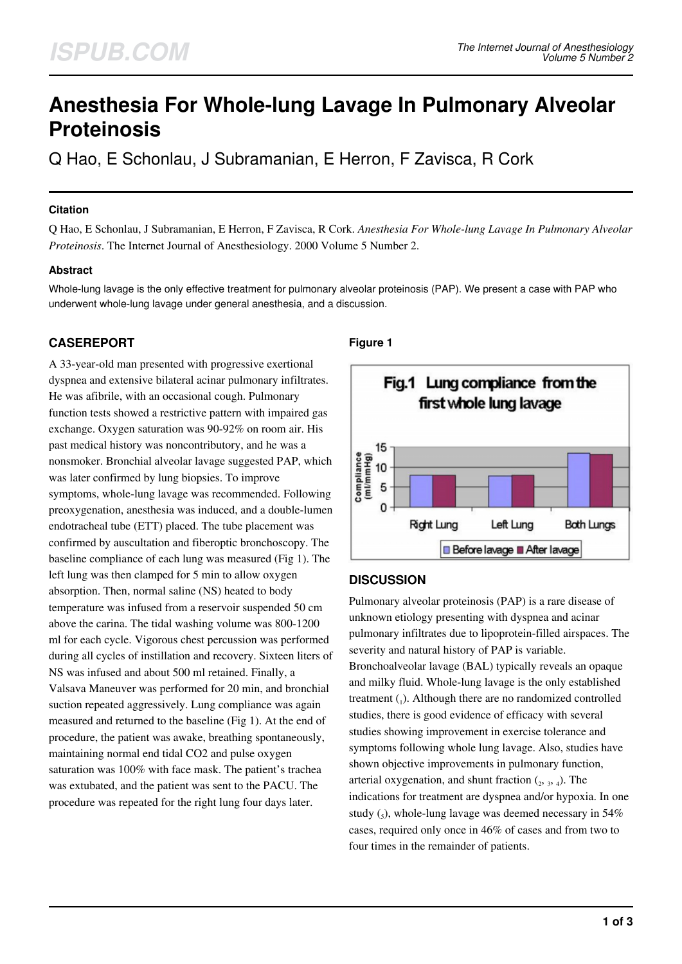# **Anesthesia For Whole-lung Lavage In Pulmonary Alveolar Proteinosis**

Q Hao, E Schonlau, J Subramanian, E Herron, F Zavisca, R Cork

#### **Citation**

Q Hao, E Schonlau, J Subramanian, E Herron, F Zavisca, R Cork. *Anesthesia For Whole-lung Lavage In Pulmonary Alveolar Proteinosis*. The Internet Journal of Anesthesiology. 2000 Volume 5 Number 2.

#### **Abstract**

Whole-lung lavage is the only effective treatment for pulmonary alveolar proteinosis (PAP). We present a case with PAP who underwent whole-lung lavage under general anesthesia, and a discussion.

# **CASEREPORT**

A 33-year-old man presented with progressive exertional dyspnea and extensive bilateral acinar pulmonary infiltrates. He was afibrile, with an occasional cough. Pulmonary function tests showed a restrictive pattern with impaired gas exchange. Oxygen saturation was 90-92% on room air. His past medical history was noncontributory, and he was a nonsmoker. Bronchial alveolar lavage suggested PAP, which was later confirmed by lung biopsies. To improve symptoms, whole-lung lavage was recommended. Following preoxygenation, anesthesia was induced, and a double-lumen endotracheal tube (ETT) placed. The tube placement was confirmed by auscultation and fiberoptic bronchoscopy. The baseline compliance of each lung was measured (Fig 1). The left lung was then clamped for 5 min to allow oxygen absorption. Then, normal saline (NS) heated to body temperature was infused from a reservoir suspended 50 cm above the carina. The tidal washing volume was 800-1200 ml for each cycle. Vigorous chest percussion was performed during all cycles of instillation and recovery. Sixteen liters of NS was infused and about 500 ml retained. Finally, a Valsava Maneuver was performed for 20 min, and bronchial suction repeated aggressively. Lung compliance was again measured and returned to the baseline (Fig 1). At the end of procedure, the patient was awake, breathing spontaneously, maintaining normal end tidal CO2 and pulse oxygen saturation was 100% with face mask. The patient's trachea was extubated, and the patient was sent to the PACU. The procedure was repeated for the right lung four days later.

## **Figure 1**



# **DISCUSSION**

Pulmonary alveolar proteinosis (PAP) is a rare disease of unknown etiology presenting with dyspnea and acinar pulmonary infiltrates due to lipoprotein-filled airspaces. The severity and natural history of PAP is variable. Bronchoalveolar lavage (BAL) typically reveals an opaque and milky fluid. Whole-lung lavage is the only established treatment  $_{1}$ ). Although there are no randomized controlled studies, there is good evidence of efficacy with several studies showing improvement in exercise tolerance and symptoms following whole lung lavage. Also, studies have shown objective improvements in pulmonary function, arterial oxygenation, and shunt fraction  $(2, 3, 4)$ . The indications for treatment are dyspnea and/or hypoxia. In one study  $(_{5})$ , whole-lung lavage was deemed necessary in 54% cases, required only once in 46% of cases and from two to four times in the remainder of patients.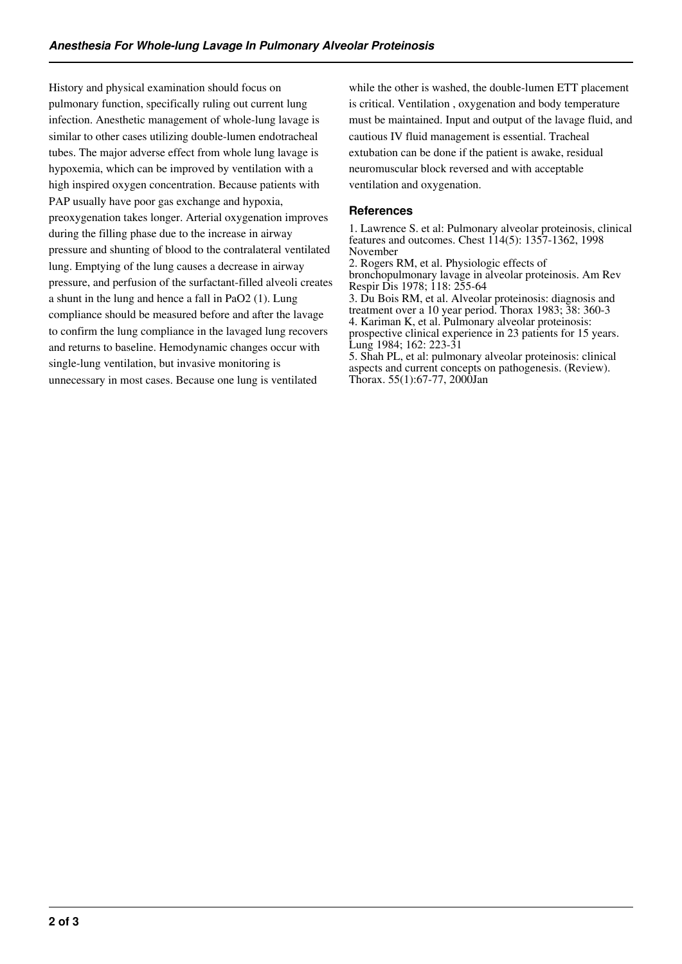History and physical examination should focus on pulmonary function, specifically ruling out current lung infection. Anesthetic management of whole-lung lavage is similar to other cases utilizing double-lumen endotracheal tubes. The major adverse effect from whole lung lavage is hypoxemia, which can be improved by ventilation with a high inspired oxygen concentration. Because patients with PAP usually have poor gas exchange and hypoxia, preoxygenation takes longer. Arterial oxygenation improves during the filling phase due to the increase in airway pressure and shunting of blood to the contralateral ventilated lung. Emptying of the lung causes a decrease in airway pressure, and perfusion of the surfactant-filled alveoli creates a shunt in the lung and hence a fall in PaO2 (1). Lung compliance should be measured before and after the lavage to confirm the lung compliance in the lavaged lung recovers and returns to baseline. Hemodynamic changes occur with single-lung ventilation, but invasive monitoring is unnecessary in most cases. Because one lung is ventilated

while the other is washed, the double-lumen ETT placement is critical. Ventilation , oxygenation and body temperature must be maintained. Input and output of the lavage fluid, and cautious IV fluid management is essential. Tracheal extubation can be done if the patient is awake, residual neuromuscular block reversed and with acceptable ventilation and oxygenation.

#### **References**

1. Lawrence S. et al: Pulmonary alveolar proteinosis, clinical features and outcomes. Chest 114(5): 1357-1362, 1998 November

2. Rogers RM, et al. Physiologic effects of bronchopulmonary lavage in alveolar proteinosis. Am Rev Respir Dis 1978; 118: 255-64

3. Du Bois RM, et al. Alveolar proteinosis: diagnosis and treatment over a 10 year period. Thorax 1983; 38: 360-3 4. Kariman K, et al. Pulmonary alveolar proteinosis: prospective clinical experience in 23 patients for 15 years. Lung 1984; 162: 223-31

5. Shah PL, et al: pulmonary alveolar proteinosis: clinical aspects and current concepts on pathogenesis. (Review). Thorax. 55(1):67-77, 2000Jan